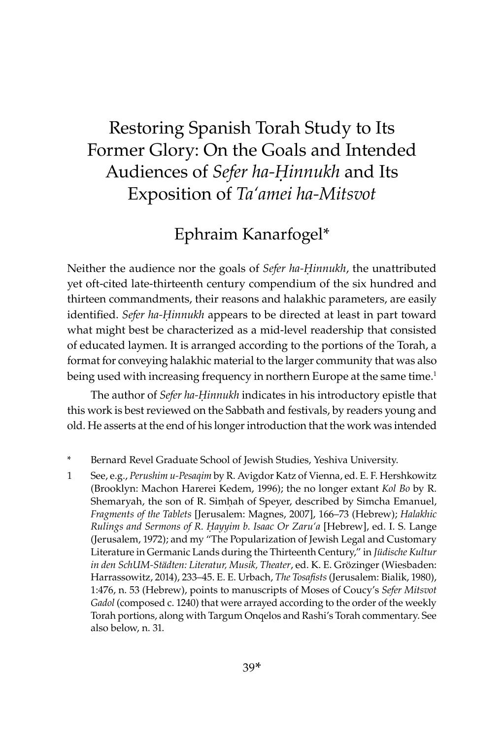# Restoring Spanish Torah Study to Its Former Glory: On the Goals and Intended Audiences of *Sefer ha-Ḥinnukh* and Its Exposition of *Ta'amei ha-Mitsvot*

# Ephraim Kanarfogel\*

Neither the audience nor the goals of *Sefer ha-Ḥinnukh*, the unattributed yet oft-cited late-thirteenth century compendium of the six hundred and thirteen commandments, their reasons and halakhic parameters, are easily identified. *Sefer ha-Ḥinnukh* appears to be directed at least in part toward what might best be characterized as a mid-level readership that consisted of educated laymen. It is arranged according to the portions of the Torah, a format for conveying halakhic material to the larger community that was also being used with increasing frequency in northern Europe at the same time.<sup>1</sup>

The author of *Sefer ha-Ḥinnukh* indicates in his introductory epistle that this work is best reviewed on the Sabbath and festivals, by readers young and old. He asserts at the end of his longer introduction that the work was intended

- \* Bernard Revel Graduate School of Jewish Studies, Yeshiva University.
- 1 See, e.g., *Perushim u-Pesaqim* by R. Avigdor Katz of Vienna, ed. E. F. Hershkowitz (Brooklyn: Machon Harerei Kedem, 1996); the no longer extant *Kol Bo* by R. Shemaryah, the son of R. Simḥah of Speyer, described by Simcha Emanuel, *Fragments of the Tablets* [Jerusalem: Magnes, 2007], 166–73 (Hebrew); *Halakhic Rulings and Sermons of R. Ḥayyim b. Isaac Or Zaru'a* [Hebrew], ed. I. S. Lange (Jerusalem, 1972); and my "The Popularization of Jewish Legal and Customary Literature in Germanic Lands during the Thirteenth Century," in *Jüdische Kultur in den SchUM-Städten: Literatur, Musik, Theater*, ed. K. E. Grözinger (Wiesbaden: Harrassowitz, 2014), 233–45. E. E. Urbach, *The Tosafists* (Jerusalem: Bialik, 1980), 1:476, n. 53 (Hebrew), points to manuscripts of Moses of Coucy's *Sefer Mitsvot*  Gadol (composed c. 1240) that were arrayed according to the order of the weekly Torah portions, along with Targum Onqelos and Rashi's Torah commentary. See also below, n. 31.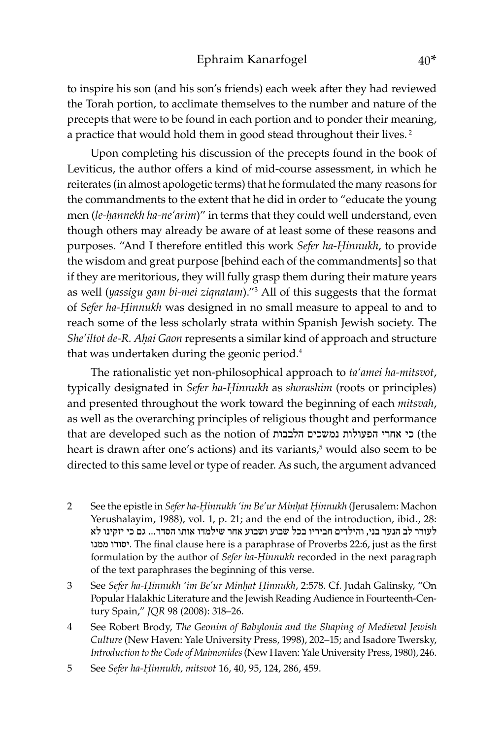to inspire his son (and his son's friends) each week after they had reviewed the Torah portion, to acclimate themselves to the number and nature of the precepts that were to be found in each portion and to ponder their meaning, a practice that would hold them in good stead throughout their lives.<sup>2</sup>

Upon completing his discussion of the precepts found in the book of Leviticus, the author offers a kind of mid-course assessment, in which he reiterates (in almost apologetic terms) that he formulated the many reasons for the commandments to the extent that he did in order to "educate the young men (*le-ḥannekh ha-ne'arim*)" in terms that they could well understand, even though others may already be aware of at least some of these reasons and purposes. "And I therefore entitled this work *Sefer ha-Ḥinnukh*, to provide the wisdom and great purpose [behind each of the commandments] so that if they are meritorious, they will fully grasp them during their mature years as well (*yassigu gam bi-mei ziqnatam*)."<sup>3</sup> All of this suggests that the format of *Sefer ha-Ḥinnukh* was designed in no small measure to appeal to and to reach some of the less scholarly strata within Spanish Jewish society. The *She'iltot de-R. Aḥai Gaon* represents a similar kind of approach and structure that was undertaken during the geonic period.<sup>4</sup>

The rationalistic yet non-philosophical approach to *ta'amei ha-mitsvot*, typically designated in *Sefer ha-Ḥinnukh* as *shorashim* (roots or principles) and presented throughout the work toward the beginning of each *mitsvah*, as well as the overarching principles of religious thought and performance that are developed such as the notion of הלבבות נמשכים הפעולות אחרי כי) the heart is drawn after one's actions) and its variants,<sup>5</sup> would also seem to be directed to this same level or type of reader. As such, the argument advanced

- 2 See the epistle in *Sefer ha-Ḥinnukh 'im Be'ur Minḥat Ḥinnukh* (Jerusalem: Machon Yerushalayim, 1988), vol. 1, p. 21; and the end of the introduction, ibid., 28: לעורר לב הנער בני, והילדים חביריו בכל שבוע ושבוע אחר שילמדו אותו הסדר... גם כי יזקינו לא ממנו יסורו. The final clause here is a paraphrase of Proverbs 22:6, just as the first formulation by the author of *Sefer ha-Ḥinnukh* recorded in the next paragraph of the text paraphrases the beginning of this verse.
- 3 See *Sefer ha-Ḥinnukh 'im Be'ur Minḥat Ḥinnukh*, 2:578. Cf. Judah Galinsky, "On Popular Halakhic Literature and the Jewish Reading Audience in Fourteenth-Century Spain," *JQR* 98 (2008): 318–26.
- 4 See Robert Brody, *The Geonim of Babylonia and the Shaping of Medieval Jewish Culture* (New Haven: Yale University Press, 1998), 202–15; and Isadore Twersky, *Introduction to the Code of Maimonides* (New Haven: Yale University Press, 1980), 246.
- 5 See *Sefer ha-Ḥinnukh, mitsvot* 16, 40, 95, 124, 286, 459.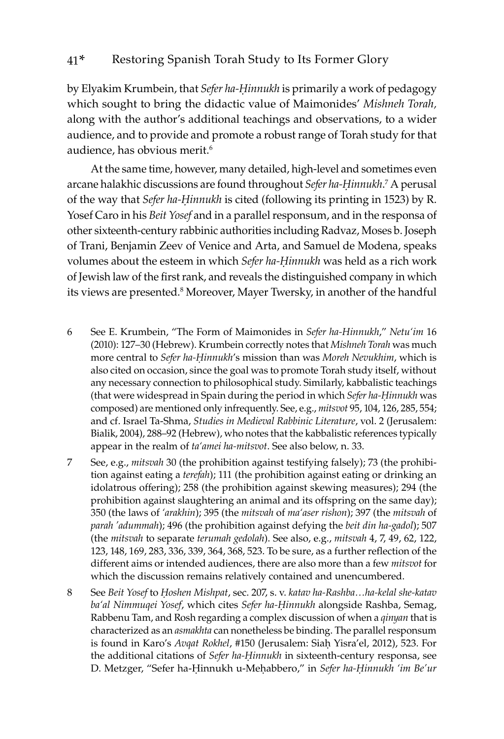by Elyakim Krumbein, that *Sefer ha-Ḥinnukh* is primarily a work of pedagogy which sought to bring the didactic value of Maimonides' *Mishneh Torah,*  along with the author's additional teachings and observations, to a wider audience, and to provide and promote a robust range of Torah study for that audience, has obvious merit.<sup>6</sup>

At the same time, however, many detailed, high-level and sometimes even arcane halakhic discussions are found throughout *Sefer ha-Ḥinnukh*.<sup>7</sup> A perusal of the way that *Sefer ha-Ḥinnukh* is cited (following its printing in 1523) by R. Yosef Caro in his *Beit Yosef* and in a parallel responsum, and in the responsa of other sixteenth-century rabbinic authorities including Radvaz, Moses b. Joseph of Trani, Benjamin Zeev of Venice and Arta, and Samuel de Modena, speaks volumes about the esteem in which *Sefer ha-Ḥinnukh* was held as a rich work of Jewish law of the first rank, and reveals the distinguished company in which its views are presented.<sup>8</sup> Moreover, Mayer Twersky, in another of the handful

- 6 See E. Krumbein, "The Form of Maimonides in *Sefer ha-Hinnukh*," *Netu'im* 16 (2010): 127–30 (Hebrew). Krumbein correctly notes that *Mishneh Torah* was much more central to *Sefer ha-Ḥinnukh*'s mission than was *Moreh Nevukhim*, which is also cited on occasion, since the goal was to promote Torah study itself, without any necessary connection to philosophical study. Similarly, kabbalistic teachings (that were widespread in Spain during the period in which *Sefer ha-Ḥinnukh* was composed) are mentioned only infrequently. See, e.g., *mitsvot* 95, 104, 126, 285, 554; and cf. Israel Ta-Shma, *Studies in Medieval Rabbinic Literature*, vol. 2 (Jerusalem: Bialik, 2004), 288–92 (Hebrew), who notes that the kabbalistic references typically appear in the realm of *ta'amei ha-mitsvot*. See also below, n. 33.
- 7 See, e.g., *mitsvah* 30 (the prohibition against testifying falsely); 73 (the prohibition against eating a *terefah*); 111 (the prohibition against eating or drinking an idolatrous offering); 258 (the prohibition against skewing measures); 294 (the prohibition against slaughtering an animal and its offspring on the same day); 350 (the laws of *'arakhin*); 395 (the *mitsvah* of *ma'aser rishon*); 397 (the *mitsvah* of *parah 'adummah*); 496 (the prohibition against defying the *beit din ha-gadol*); 507 (the *mitsvah* to separate *terumah gedolah*). See also, e.g., *mitsvah* 4, 7, 49, 62, 122, 123, 148, 169, 283, 336, 339, 364, 368, 523. To be sure, as a further reflection of the different aims or intended audiences, there are also more than a few *mitsvot* for which the discussion remains relatively contained and unencumbered.
- 8 See *Beit Yosef* to *Ḥoshen Mishpat*, sec. 207, s. v. *katav ha-Rashba…ha-kelal she-katav ba'al Nimmuqei Yosef*, which cites *Sefer ha-Ḥinnukh* alongside Rashba, Semag, Rabbenu Tam, and Rosh regarding a complex discussion of when a *qinyan* that is characterized as an *asmakhta* can nonetheless be binding. The parallel responsum is found in Karo's *Avqat Rokhel*, #150 (Jerusalem: Siaḥ Yisra'el, 2012), 523. For the additional citations of *Sefer ha-Ḥinnukh* in sixteenth-century responsa, see D. Metzger, "Sefer ha-Ḥinnukh u-Meḥabbero," in *Sefer ha-Ḥinnukh 'im Be'ur*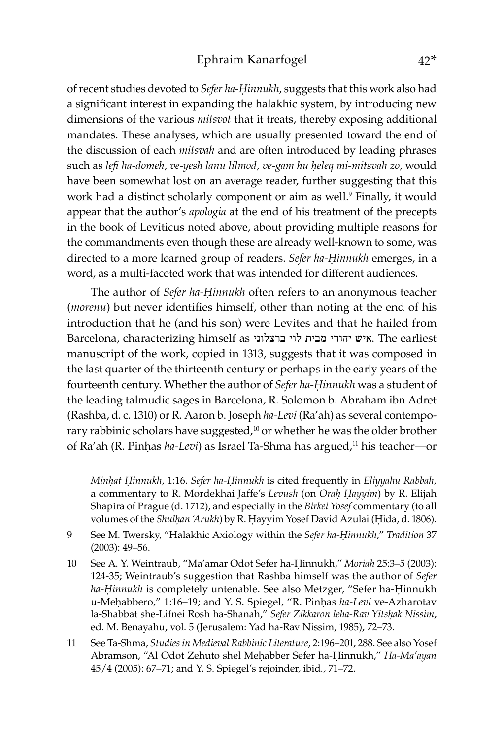#### Ephraim Kanarfogel 42\*

of recent studies devoted to *Sefer ha-Ḥinnukh*, suggests that this work also had a significant interest in expanding the halakhic system, by introducing new dimensions of the various *mitsvot* that it treats, thereby exposing additional mandates. These analyses, which are usually presented toward the end of the discussion of each *mitsvah* and are often introduced by leading phrases such as *lefi ha-domeh*, *ve-yesh lanu lilmod*, *ve-gam hu ḥeleq mi-mitsvah zo*, would have been somewhat lost on an average reader, further suggesting that this work had a distinct scholarly component or aim as well.<sup>9</sup> Finally, it would appear that the author's *apologia* at the end of his treatment of the precepts in the book of Leviticus noted above, about providing multiple reasons for the commandments even though these are already well-known to some, was directed to a more learned group of readers. *Sefer ha-Ḥinnukh* emerges, in a word, as a multi-faceted work that was intended for different audiences.

The author of *Sefer ha-Ḥinnukh* often refers to an anonymous teacher (*morenu*) but never identifies himself, other than noting at the end of his introduction that he (and his son) were Levites and that he hailed from Barcelona, characterizing himself as ברצלוני לוי מבית יהודי איש. The earliest manuscript of the work, copied in 1313, suggests that it was composed in the last quarter of the thirteenth century or perhaps in the early years of the fourteenth century. Whether the author of *Sefer ha-Ḥinnukh* was a student of the leading talmudic sages in Barcelona, R. Solomon b. Abraham ibn Adret (Rashba, d. c. 1310) or R. Aaron b. Joseph *ha-Levi* (Ra'ah) as several contemporary rabbinic scholars have suggested, $10$  or whether he was the older brother of Ra'ah (R. Pinhas *ha-Levi*) as Israel Ta-Shma has argued,<sup>11</sup> his teacher—or

*Minḥat Ḥinnukh*, 1:16. *Sefer ha-Ḥinnukh* is cited frequently in *Eliyyahu Rabbah,*  a commentary to R. Mordekhai Jaffe's *Levush* (on *Oraḥ Ḥayyim*) by R. Elijah Shapira of Prague (d. 1712), and especially in the *Birkei Yosef* commentary (to all volumes of the *Shulḥan 'Arukh*) by R. Ḥayyim Yosef David Azulai (Ḥida, d. 1806).

- 9 See M. Twersky, "Halakhic Axiology within the *Sefer ha-Ḥinnukh*," *Tradition* 37 (2003): 49–56.
- 10 See A. Y. Weintraub, "Ma'amar Odot Sefer ha-Ḥinnukh," *Moriah* 25:3–5 (2003): 124-35; Weintraub's suggestion that Rashba himself was the author of *Sefer ha-Ḥinnukh* is completely untenable. See also Metzger, "Sefer ha-Ḥinnukh u-Meḥabbero," 1:16–19; and Y. S. Spiegel, "R. Pinḥas *ha-Levi* ve-Azharotav la-Shabbat she-Lifnei Rosh ha-Shanah," *Sefer Zikkaron leha-Rav Yitsḥak Nissim*, ed. M. Benayahu, vol. 5 (Jerusalem: Yad ha-Rav Nissim, 1985), 72–73.
- 11 See Ta-Shma, *Studies in Medieval Rabbinic Literature*, 2:196–201, 288. See also Yosef Abramson, "Al Odot Zehuto shel Meḥabber Sefer ha-Ḥinnukh," *Ha-Ma'ayan* 45/4 (2005): 67–71; and Y. S. Spiegel's rejoinder, ibid*.*, 71–72.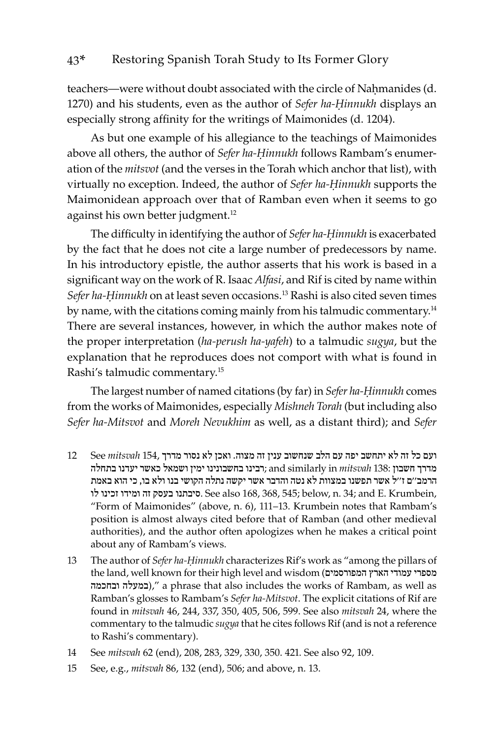teachers—were without doubt associated with the circle of Nahmanides (d. 1270) and his students, even as the author of *Sefer ha-Ḥinnukh* displays an especially strong affinity for the writings of Maimonides (d. 1204).

As but one example of his allegiance to the teachings of Maimonides above all others, the author of *Sefer ha-Ḥinnukh* follows Rambam's enumeration of the *mitsvot* (and the verses in the Torah which anchor that list), with virtually no exception. Indeed, the author of *Sefer ha-Ḥinnukh* supports the Maimonidean approach over that of Ramban even when it seems to go against his own better judgment.<sup>12</sup>

The difficulty in identifying the author of *Sefer ha-Ḥinnukh* is exacerbated by the fact that he does not cite a large number of predecessors by name. In his introductory epistle, the author asserts that his work is based in a significant way on the work of R. Isaac *Alfasi*, and Rif is cited by name within *Sefer ha-Ḥinnukh* on at least seven occasions.13 Rashi is also cited seven times by name, with the citations coming mainly from his talmudic commentary.<sup>14</sup> There are several instances, however, in which the author makes note of the proper interpretation (*ha-perush ha-yafeh*) to a talmudic *sugya*, but the explanation that he reproduces does not comport with what is found in Rashi's talmudic commentary.15

The largest number of named citations (by far) in *Sefer ha-Ḥinnukh* comes from the works of Maimonides, especially *Mishneh Torah* (but including also *Sefer ha-Mitsvot* and *Moreh Nevukhim* as well, as a distant third); and *Sefer* 

- ועם כל זה לא יתחשב יפה עם הלב שנחשוב ענין זה מצוה. ואכן לא נסור מדרך 154, *mitsvah* See 12 מדרך חשבון 138: *mitsvah* in similarly and; רבינו בחשבונינו ימין ושמאל כאשר יעדנו בתחלה הרמב''ם ז''ל אשר תפשנו במצוות לא נטה והדבר אשר יקשה נתלה הקושי בנו ולא בו, כי הוא באמת לו זכינו ומידו זה בעסק סיבתנו. See also 168, 368, 545; below, n. 34; and E. Krumbein, "Form of Maimonides" (above, n. 6), 111–13. Krumbein notes that Rambam's position is almost always cited before that of Ramban (and other medieval authorities), and the author often apologizes when he makes a critical point about any of Rambam's views.
- 13 The author of *Sefer ha-Ḥinnukh* characterizes Rif's work as "among the pillars of the land, well known for their high level and wisdom (המפורסמים הארץ עמודי מספרי ובחכמה במעלה(, "a phrase that also includes the works of Rambam, as well as Ramban's glosses to Rambam's *Sefer ha-Mitsvot*. The explicit citations of Rif are found in *mitsvah* 46, 244, 337, 350, 405, 506, 599. See also *mitsvah* 24, where the commentary to the talmudic *sugya* that he cites follows Rif (and is not a reference to Rashi's commentary).
- 14 See *mitsvah* 62 (end), 208, 283, 329, 330, 350. 421. See also 92, 109.
- 15 See, e.g., *mitsvah* 86, 132 (end), 506; and above, n. 13.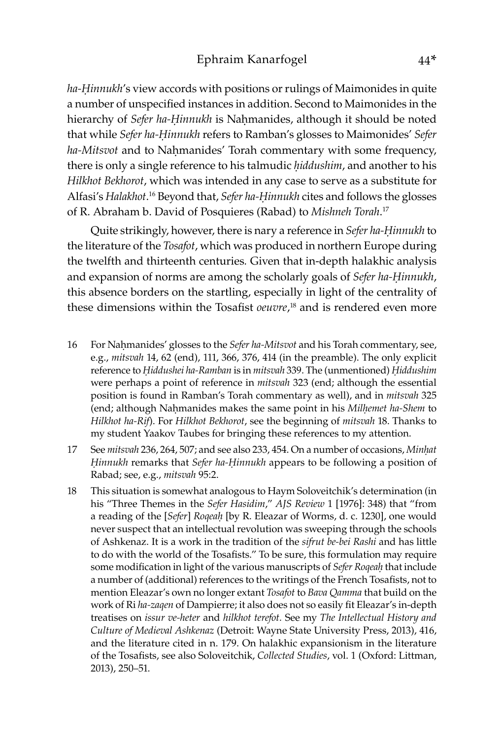*ha-Ḥinnukh*'s view accords with positions or rulings of Maimonides in quite a number of unspecified instances in addition. Second to Maimonides in the hierarchy of *Sefer ha-Hinnukh* is Nahmanides, although it should be noted that while *Sefer ha-Ḥinnukh* refers to Ramban's glosses to Maimonides' *Sefer*  ha-Mitsvot and to Nahmanides' Torah commentary with some frequency, there is only a single reference to his talmudic *ḥiddushim*, and another to his *Hilkhot Bekhorot*, which was intended in any case to serve as a substitute for Alfasi's *Halakhot*. <sup>16</sup> Beyond that, *Sefer ha-Ḥinnukh* cites and follows the glosses of R. Abraham b. David of Posquieres (Rabad) to *Mishneh Torah*. 17

Quite strikingly, however, there is nary a reference in *Sefer ha-Ḥinnukh* to the literature of the *Tosafot*, which was produced in northern Europe during the twelfth and thirteenth centuries*.* Given that in-depth halakhic analysis and expansion of norms are among the scholarly goals of *Sefer ha-Ḥinnukh*, this absence borders on the startling, especially in light of the centrality of these dimensions within the Tosafist *oeuvre*, 18 and is rendered even more

- 16 For Naḥmanides' glosses to the *Sefer ha-Mitsvot* and his Torah commentary, see, e.g., *mitsvah* 14, 62 (end), 111, 366, 376, 414 (in the preamble). The only explicit reference to *Ḥiddushei ha-Ramban* is in *mitsvah* 339. The (unmentioned) *Ḥiddushim*  were perhaps a point of reference in *mitsvah* 323 (end; although the essential position is found in Ramban's Torah commentary as well), and in *mitsvah* 325 (end; although Naḥmanides makes the same point in his *Milḥemet ha-Shem* to *Hilkhot ha-Rif*). For *Hilkhot Bekhorot*, see the beginning of *mitsvah* 18. Thanks to my student Yaakov Taubes for bringing these references to my attention.
- 17 See *mitsvah* 236, 264, 507; and see also 233, 454. On a number of occasions, *Minḥat Ḥinnukh* remarks that *Sefer ha-Ḥinnukh* appears to be following a position of Rabad; see, e.g., *mitsvah* 95:2.
- 18 This situation is somewhat analogous to Haym Soloveitchik's determination (in his "Three Themes in the *Sefer Hasidim*," *AJS Review* 1 [1976]: 348) that "from a reading of the [*Sefer*] *Roqeaḥ* [by R. Eleazar of Worms, d. c. 1230], one would never suspect that an intellectual revolution was sweeping through the schools of Ashkenaz. It is a work in the tradition of the *sifrut be-bei Rashi* and has little to do with the world of the Tosafists." To be sure, this formulation may require some modification in light of the various manuscripts of *Sefer Roqeaḥ* that include a number of (additional) references to the writings of the French Tosafists, not to mention Eleazar's own no longer extant *Tosafot* to *Bava Qamma* that build on the work of Ri *ha-zaqen* of Dampierre; it also does not so easily fit Eleazar's in-depth treatises on *issur ve-heter* and *hilkhot terefot.* See my *The Intellectual History and Culture of Medieval Ashkenaz* (Detroit: Wayne State University Press, 2013), 416, and the literature cited in n. 179. On halakhic expansionism in the literature of the Tosafists, see also Soloveitchik, *Collected Studies*, vol. 1 (Oxford: Littman, 2013), 250–51.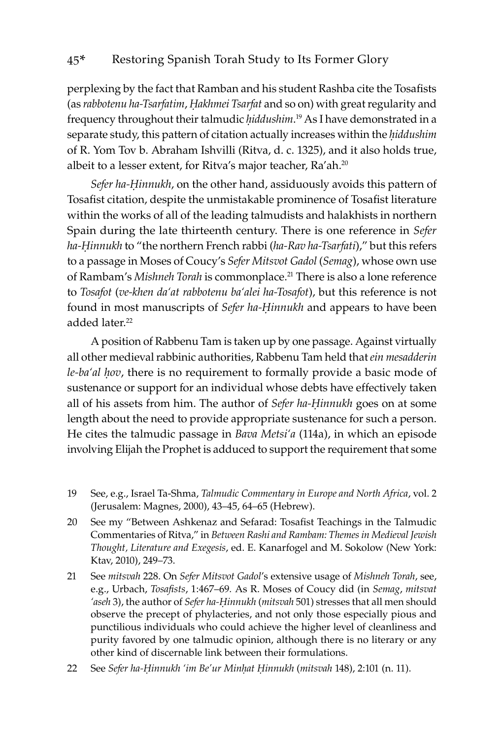perplexing by the fact that Ramban and his student Rashba cite the Tosafists (as *rabbotenu ha-Tsarfatim*, *Ḥakhmei Tsarfat* and so on) with great regularity and frequency throughout their talmudic *ḥiddushim*. 19 As I have demonstrated in a separate study, this pattern of citation actually increases within the *ḥiddushim*  of R. Yom Tov b. Abraham Ishvilli (Ritva, d. c. 1325), and it also holds true, albeit to a lesser extent, for Ritva's major teacher, Ra'ah.<sup>20</sup>

*Sefer ha-Ḥinnukh*, on the other hand, assiduously avoids this pattern of Tosafist citation, despite the unmistakable prominence of Tosafist literature within the works of all of the leading talmudists and halakhists in northern Spain during the late thirteenth century. There is one reference in *Sefer ha-Ḥinnukh* to "the northern French rabbi (*ha-Rav ha-Tsarfati*)," but this refers to a passage in Moses of Coucy's *Sefer Mitsvot Gadol* (*Semag*), whose own use of Rambam's *Mishneh Torah* is commonplace.<sup>21</sup> There is also a lone reference to *Tosafot* (*ve-khen da'at rabbotenu ba'alei ha-Tosafot*), but this reference is not found in most manuscripts of *Sefer ha-Ḥinnukh* and appears to have been added later.<sup>22</sup>

A position of Rabbenu Tam is taken up by one passage. Against virtually all other medieval rabbinic authorities, Rabbenu Tam held that *ein mesadderin le-ba'al ḥov*, there is no requirement to formally provide a basic mode of sustenance or support for an individual whose debts have effectively taken all of his assets from him. The author of *Sefer ha-Ḥinnukh* goes on at some length about the need to provide appropriate sustenance for such a person. He cites the talmudic passage in *Bava Metsi'a* (114a), in which an episode involving Elijah the Prophet is adduced to support the requirement that some

- 19 See, e.g., Israel Ta-Shma, *Talmudic Commentary in Europe and North Africa*, vol. 2 (Jerusalem: Magnes, 2000), 43–45, 64–65 (Hebrew).
- 20 See my "Between Ashkenaz and Sefarad: Tosafist Teachings in the Talmudic Commentaries of Ritva," in *Between Rashi and Rambam: Themes in Medieval Jewish Thought, Literature and Exegesis*, ed. E. Kanarfogel and M. Sokolow (New York: Ktav, 2010), 249–73.
- 21 See *mitsvah* 228. On *Sefer Mitsvot Gadol*'s extensive usage of *Mishneh Torah*, see, e.g., Urbach, *Tosafists*, 1:467–69*.* As R. Moses of Coucy did (in *Semag*, *mitsvat 'aseh* 3), the author of *Sefer ha-Ḥinnukh* (*mitsvah* 501) stresses that all men should observe the precept of phylacteries, and not only those especially pious and punctilious individuals who could achieve the higher level of cleanliness and purity favored by one talmudic opinion, although there is no literary or any other kind of discernable link between their formulations.
- 22 See *Sefer ha-Ḥinnukh 'im Be'ur Minḥat Ḥinnukh* (*mitsvah* 148), 2:101 (n. 11).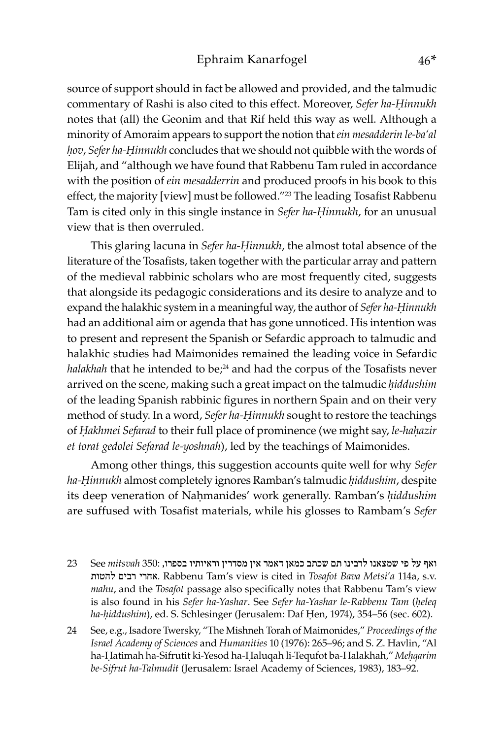source of support should in fact be allowed and provided, and the talmudic commentary of Rashi is also cited to this effect. Moreover, *Sefer ha-Ḥinnukh*  notes that (all) the Geonim and that Rif held this way as well. Although a minority of Amoraim appears to support the notion that *ein mesadderin le-ba'al ḥov*, *Sefer ha-Ḥinnukh* concludes that we should not quibble with the words of Elijah, and "although we have found that Rabbenu Tam ruled in accordance with the position of *ein mesadderrin* and produced proofs in his book to this effect, the majority [view] must be followed."<sup>23</sup> The leading Tosafist Rabbenu Tam is cited only in this single instance in *Sefer ha-Ḥinnukh*, for an unusual view that is then overruled.

This glaring lacuna in *Sefer ha-Ḥinnukh*, the almost total absence of the literature of the Tosafists, taken together with the particular array and pattern of the medieval rabbinic scholars who are most frequently cited, suggests that alongside its pedagogic considerations and its desire to analyze and to expand the halakhic system in a meaningful way, the author of *Sefer ha-Ḥinnukh*  had an additional aim or agenda that has gone unnoticed. His intention was to present and represent the Spanish or Sefardic approach to talmudic and halakhic studies had Maimonides remained the leading voice in Sefardic *halakhah* that he intended to be;<sup>24</sup> and had the corpus of the Tosafists never arrived on the scene, making such a great impact on the talmudic *ḥiddushim*  of the leading Spanish rabbinic figures in northern Spain and on their very method of study. In a word, *Sefer ha-Ḥinnukh* sought to restore the teachings of *Ḥakhmei Sefarad* to their full place of prominence (we might say, *le-haḥazir et torat gedolei Sefarad le-yoshnah*), led by the teachings of Maimonides.

Among other things, this suggestion accounts quite well for why *Sefer ha-Ḥinnukh* almost completely ignores Ramban's talmudic *ḥiddushim*, despite its deep veneration of Nahmanides' work generally. Ramban's *hiddushim* are suffused with Tosafist materials, while his glosses to Rambam's *Sefer* 

- ואף על פי שמצאנו לרבינו תם שכתב כמאן דאמר אין מסדרין וראיותיו בספרו, 350: *mitsvah* See 23 להטות רבים אחרי. Rabbenu Tam's view is cited in *Tosafot Bava Metsi'a* 114a, s.v. *mahu*, and the *Tosafot* passage also specifically notes that Rabbenu Tam's view is also found in his *Sefer ha-Yashar*. See *Sefer ha-Yashar le-Rabbenu Tam* (*ḥeleq ha-ḥiddushim*), ed. S. Schlesinger (Jerusalem: Daf Ḥen, 1974), 354–56 (sec. 602).
- 24 See, e.g., Isadore Twersky, "The Mishneh Torah of Maimonides," *Proceedings of the Israel Academy of Sciences* and *Humanities* 10 (1976): 265–96; and S. Z. Havlin, "Al ha-Ḥatimah ha-Sifrutit ki-Yesod ha-Ḥaluqah li-Tequfot ba-Halakhah," *Meḥqarim be-Sifrut ha-Talmudit* (Jerusalem: Israel Academy of Sciences, 1983), 183–92.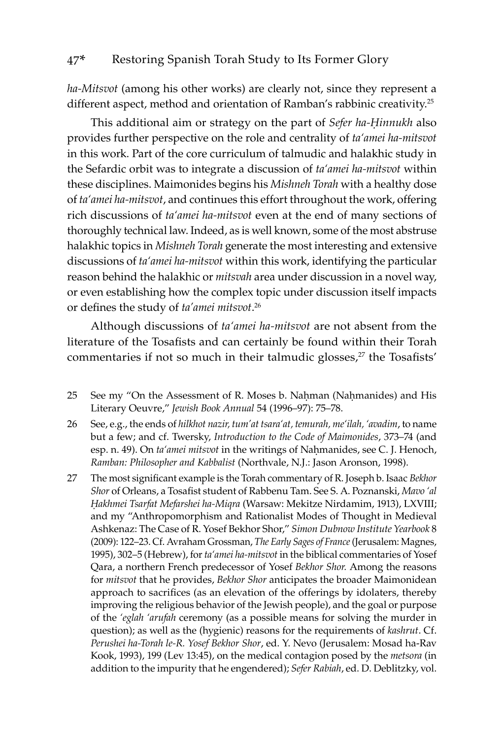*ha-Mitsvot* (among his other works) are clearly not, since they represent a different aspect, method and orientation of Ramban's rabbinic creativity.25

This additional aim or strategy on the part of *Sefer ha-Ḥinnukh* also provides further perspective on the role and centrality of *ta'amei ha-mitsvot*  in this work. Part of the core curriculum of talmudic and halakhic study in the Sefardic orbit was to integrate a discussion of *ta'amei ha-mitsvot* within these disciplines. Maimonides begins his *Mishneh Torah* with a healthy dose of *ta'amei ha-mitsvot*, and continues this effort throughout the work, offering rich discussions of *ta'amei ha-mitsvot* even at the end of many sections of thoroughly technical law. Indeed, as is well known, some of the most abstruse halakhic topics in *Mishneh Torah* generate the most interesting and extensive discussions of *ta'amei ha-mitsvot* within this work, identifying the particular reason behind the halakhic or *mitsvah* area under discussion in a novel way, or even establishing how the complex topic under discussion itself impacts or defines the study of *ta'amei mitsvot*. 26

Although discussions of *ta'amei ha-mitsvot* are not absent from the literature of the Tosafists and can certainly be found within their Torah commentaries if not so much in their talmudic glosses,<sup>27</sup> the Tosafists'

- 25 See my "On the Assessment of R. Moses b. Nahman (Nahmanides) and His Literary Oeuvre," *Jewish Book Annual* 54 (1996–97): 75–78.
- 26 See, e.g., the ends of *hilkhot nazir, tum'at tsara'at, temurah, me'ilah, 'avadim*, to name but a few; and cf. Twersky, *Introduction to the Code of Maimonides*, 373–74 (and esp. n. 49). On *ta'amei mitsvot* in the writings of Nahmanides, see C. J. Henoch, *Ramban: Philosopher and Kabbalist* (Northvale, N.J.: Jason Aronson, 1998).
- 27 The most significant example is the Torah commentary of R. Joseph b. Isaac *Bekhor Shor* of Orleans, a Tosafist student of Rabbenu Tam. See S. A. Poznanski, *Mavo 'al Ḥakhmei Tsarfat Mefarshei ha-Miqra* (Warsaw: Mekitze Nirdamim, 1913), LXVIII; and my "Anthropomorphism and Rationalist Modes of Thought in Medieval Ashkenaz: The Case of R. Yosef Bekhor Shor," *Simon Dubnow Institute Yearbook* 8 (2009): 122–23. Cf. Avraham Grossman, *The Early Sages of France* (Jerusalem: Magnes, 1995), 302–5 (Hebrew), for *ta'amei ha-mitsvot* in the biblical commentaries of Yosef Qara, a northern French predecessor of Yosef *Bekhor Shor.* Among the reasons for *mitsvot* that he provides, *Bekhor Shor* anticipates the broader Maimonidean approach to sacrifices (as an elevation of the offerings by idolaters, thereby improving the religious behavior of the Jewish people), and the goal or purpose of the *'eglah 'arufah* ceremony (as a possible means for solving the murder in question); as well as the (hygienic) reasons for the requirements of *kashrut*. Cf. *Perushei ha-Torah le-R. Yosef Bekhor Shor*, ed. Y. Nevo (Jerusalem: Mosad ha-Rav Kook, 1993), 199 (Lev 13:45), on the medical contagion posed by the *metsora* (in addition to the impurity that he engendered); *Sefer Rabiah*, ed. D. Deblitzky, vol.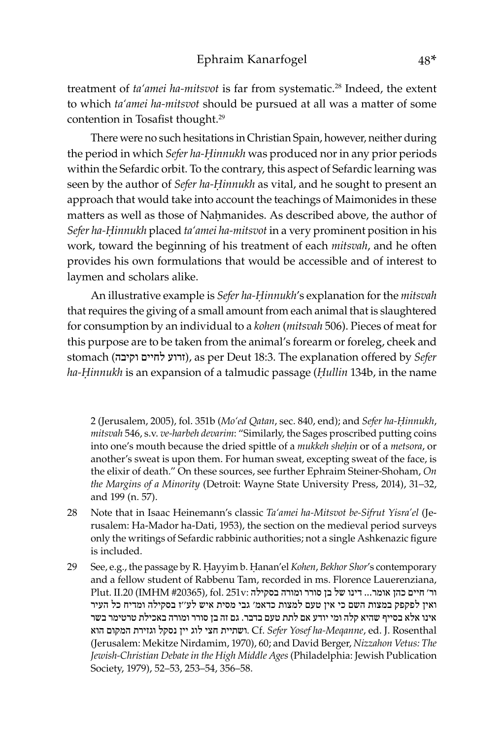treatment of *ta'amei ha-mitsvot* is far from systematic.<sup>28</sup> Indeed, the extent to which *ta'amei ha-mitsvot* should be pursued at all was a matter of some contention in Tosafist thought.<sup>29</sup>

There were no such hesitations in Christian Spain, however, neither during the period in which *Sefer ha-Ḥinnukh* was produced nor in any prior periods within the Sefardic orbit. To the contrary, this aspect of Sefardic learning was seen by the author of *Sefer ha-Ḥinnukh* as vital, and he sought to present an approach that would take into account the teachings of Maimonides in these matters as well as those of Nahmanides. As described above, the author of *Sefer ha-Ḥinnukh* placed *ta'amei ha-mitsvot* in a very prominent position in his work, toward the beginning of his treatment of each *mitsvah*, and he often provides his own formulations that would be accessible and of interest to laymen and scholars alike.

An illustrative example is *Sefer ha-Ḥinnukh*'s explanation for the *mitsvah*  that requires the giving of a small amount from each animal that is slaughtered for consumption by an individual to a *kohen* (*mitsvah* 506). Pieces of meat for this purpose are to be taken from the animal's forearm or foreleg, cheek and stomach (וקיבה לחיים זרוע(, as per Deut 18:3. The explanation offered by *Sefer ha-Ḥinnukh* is an expansion of a talmudic passage (*Ḥullin* 134b, in the name

2 (Jerusalem, 2005), fol. 351b (*Mo'ed Qatan*, sec. 840, end); and *Sefer ha-Ḥinnukh*, *mitsvah* 546, s.v. *ve-harbeh devarim*: "Similarly, the Sages proscribed putting coins into one's mouth because the dried spittle of a *mukkeh sheḥin* or of a *metsora*, or another's sweat is upon them. For human sweat, excepting sweat of the face, is the elixir of death." On these sources, see further Ephraim Steiner-Shoham, *On the Margins of a Minority* (Detroit: Wayne State University Press, 2014), 31–32, and 199 (n. 57).

- 28 Note that in Isaac Heinemann's classic *Ta'amei ha-Mitsvot be-Sifrut Yisra'el* (Jerusalem: Ha-Mador ha-Dati, 1953), the section on the medieval period surveys only the writings of Sefardic rabbinic authorities; not a single Ashkenazic figure is included.
- 29 See, e.g., the passage by R. Ḥayyim b. Ḥanan'el *Kohen*, *Bekhor Shor*'s contemporary and a fellow student of Rabbenu Tam, recorded in ms. Florence Lauerenziana, ור' חיים כהן אומר... דינו של בן סורר ומורה בסקילה :v251 .fol ,)#20365 IMHM (.20II .Plut ואין לפקפק במצות השם כי אין טעם למצות כדאמ' גבי מסית איש לע''ז בסקילה ומדיח כל העיר אינו אלא בסייף שהיא קלה ומי יודע אם לתת טעם בדבר. גם זה בן סורר ומורה באכילת טרטימר בשר Rosenthal .J .ed ,*Meqanne-ha Yosef Sefer* .Cf .ושתיית חצי לוג יין נסקל וגזירת המקום הוא (Jerusalem: Mekitze Nirdamim, 1970), 60; and David Berger, *Nizzahon Vetus: The Jewish-Christian Debate in the High Middle Ages* (Philadelphia: Jewish Publication Society, 1979), 52–53, 253–54, 356–58.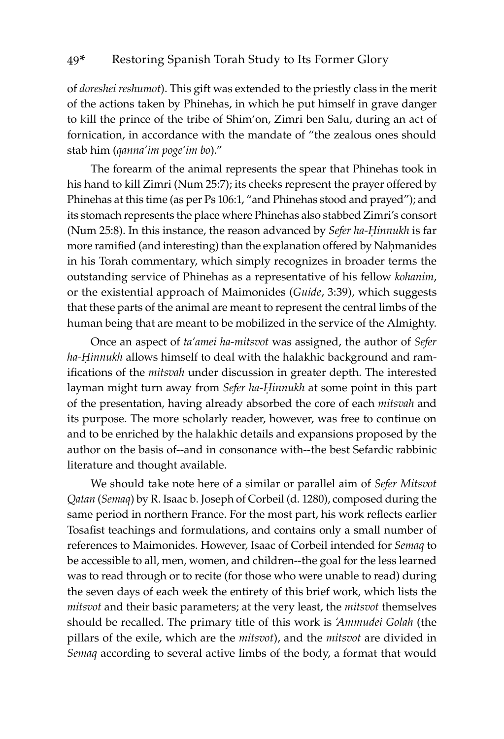of *doreshei reshumot*). This gift was extended to the priestly class in the merit of the actions taken by Phinehas, in which he put himself in grave danger to kill the prince of the tribe of Shim'on, Zimri ben Salu, during an act of fornication, in accordance with the mandate of "the zealous ones should stab him (*qanna'im poge'im bo*)."

The forearm of the animal represents the spear that Phinehas took in his hand to kill Zimri (Num 25:7); its cheeks represent the prayer offered by Phinehas at this time (as per Ps 106:1, "and Phinehas stood and prayed"); and its stomach represents the place where Phinehas also stabbed Zimri's consort (Num 25:8). In this instance, the reason advanced by *Sefer ha-Ḥinnukh* is far more ramified (and interesting) than the explanation offered by Nahmanides in his Torah commentary, which simply recognizes in broader terms the outstanding service of Phinehas as a representative of his fellow *kohanim*, or the existential approach of Maimonides (*Guide*, 3:39), which suggests that these parts of the animal are meant to represent the central limbs of the human being that are meant to be mobilized in the service of the Almighty.

Once an aspect of *ta'amei ha-mitsvot* was assigned, the author of *Sefer ha-Ḥinnukh* allows himself to deal with the halakhic background and ramifications of the *mitsvah* under discussion in greater depth. The interested layman might turn away from *Sefer ha-Ḥinnukh* at some point in this part of the presentation, having already absorbed the core of each *mitsvah* and its purpose. The more scholarly reader, however, was free to continue on and to be enriched by the halakhic details and expansions proposed by the author on the basis of--and in consonance with--the best Sefardic rabbinic literature and thought available.

We should take note here of a similar or parallel aim of *Sefer Mitsvot Qatan* (*Semaq*) by R. Isaac b. Joseph of Corbeil (d. 1280), composed during the same period in northern France. For the most part, his work reflects earlier Tosafist teachings and formulations, and contains only a small number of references to Maimonides. However, Isaac of Corbeil intended for *Semaq* to be accessible to all, men, women, and children--the goal for the less learned was to read through or to recite (for those who were unable to read) during the seven days of each week the entirety of this brief work, which lists the *mitsvot* and their basic parameters; at the very least, the *mitsvot* themselves should be recalled. The primary title of this work is *'Ammudei Golah* (the pillars of the exile, which are the *mitsvot*), and the *mitsvot* are divided in *Semaq* according to several active limbs of the body, a format that would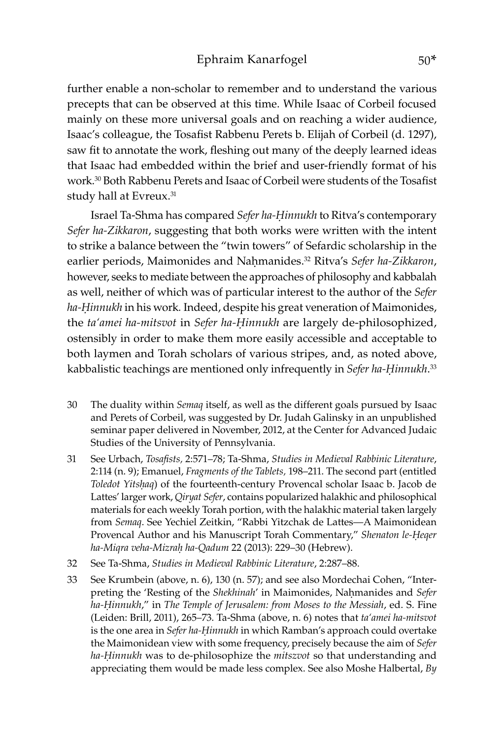further enable a non-scholar to remember and to understand the various precepts that can be observed at this time. While Isaac of Corbeil focused mainly on these more universal goals and on reaching a wider audience, Isaac's colleague, the Tosafist Rabbenu Perets b. Elijah of Corbeil (d. 1297), saw fit to annotate the work, fleshing out many of the deeply learned ideas that Isaac had embedded within the brief and user-friendly format of his work.<sup>30</sup> Both Rabbenu Perets and Isaac of Corbeil were students of the Tosafist study hall at Evreux.<sup>31</sup>

Israel Ta-Shma has compared *Sefer ha-Ḥinnukh* to Ritva's contemporary *Sefer ha-Zikkaron*, suggesting that both works were written with the intent to strike a balance between the "twin towers" of Sefardic scholarship in the earlier periods, Maimonides and Naḥmanides.<sup>32</sup> Ritva's *Sefer ha-Zikkaron*, however, seeks to mediate between the approaches of philosophy and kabbalah as well, neither of which was of particular interest to the author of the *Sefer ha-Ḥinnukh* in his work*.* Indeed, despite his great veneration of Maimonides, the *ta'amei ha-mitsvot* in *Sefer ha-Ḥinnukh* are largely de-philosophized, ostensibly in order to make them more easily accessible and acceptable to both laymen and Torah scholars of various stripes, and, as noted above, kabbalistic teachings are mentioned only infrequently in *Sefer ha-Ḥinnukh*. 33

- 30 The duality within *Semaq* itself, as well as the different goals pursued by Isaac and Perets of Corbeil, was suggested by Dr. Judah Galinsky in an unpublished seminar paper delivered in November, 2012, at the Center for Advanced Judaic Studies of the University of Pennsylvania.
- 31 See Urbach, *Tosafists,* 2:571–78; Ta-Shma, *Studies in Medieval Rabbinic Literature*, 2:114 (n. 9); Emanuel, *Fragments of the Tablets,* 198–211. The second part (entitled *Toledot Yitsḥaq*) of the fourteenth-century Provencal scholar Isaac b. Jacob de Lattes' larger work, *Qiryat Sefer*, contains popularized halakhic and philosophical materials for each weekly Torah portion, with the halakhic material taken largely from *Semaq*. See Yechiel Zeitkin, "Rabbi Yitzchak de Lattes—A Maimonidean Provencal Author and his Manuscript Torah Commentary," *Shenaton le-Ḥeqer ha-Miqra veha-Mizraḥ ha-Qadum* 22 (2013): 229–30 (Hebrew).
- 32 See Ta-Shma, *Studies in Medieval Rabbinic Literature*, 2:287–88.
- 33 See Krumbein (above, n. 6), 130 (n. 57); and see also Mordechai Cohen, "Interpreting the 'Resting of the *Shekhinah*' in Maimonides, Naḥmanides and *Sefer ha-Ḥinnukh*," in *The Temple of Jerusalem: from Moses to the Messiah*, ed. S. Fine (Leiden: Brill, 2011), 265–73. Ta-Shma (above, n. 6) notes that *ta'amei ha-mitsvot* is the one area in *Sefer ha-Ḥinnukh* in which Ramban's approach could overtake the Maimonidean view with some frequency, precisely because the aim of *Sefer ha-Ḥinnukh* was to de-philosophize the *mitszvot* so that understanding and appreciating them would be made less complex. See also Moshe Halbertal, *By*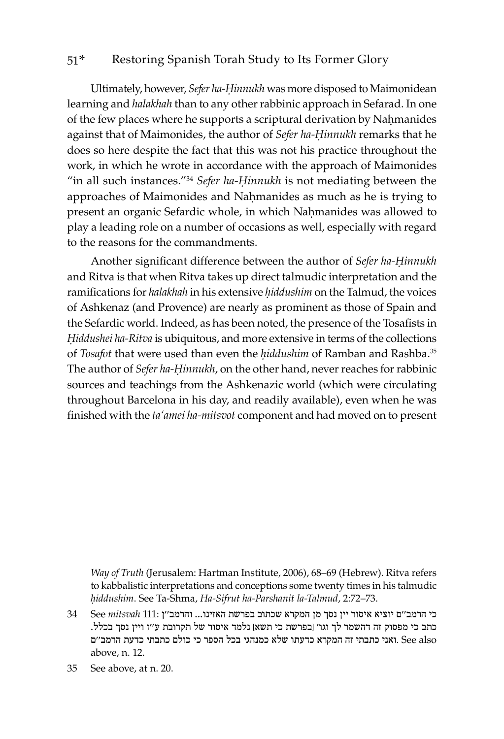Ultimately, however, *Sefer ha-Ḥinnukh* was more disposed to Maimonidean learning and *halakhah* than to any other rabbinic approach in Sefarad. In one of the few places where he supports a scriptural derivation by Nahmanides against that of Maimonides, the author of *Sefer ha-Ḥinnukh* remarks that he does so here despite the fact that this was not his practice throughout the work, in which he wrote in accordance with the approach of Maimonides "in all such instances."34 *Sefer ha-Ḥinnukh* is not mediating between the approaches of Maimonides and Nahmanides as much as he is trying to present an organic Sefardic whole, in which Nahmanides was allowed to play a leading role on a number of occasions as well, especially with regard to the reasons for the commandments.

Another significant difference between the author of *Sefer ha-Ḥinnukh*  and Ritva is that when Ritva takes up direct talmudic interpretation and the ramifications for *halakhah* in his extensive *ḥiddushim* on the Talmud, the voices of Ashkenaz (and Provence) are nearly as prominent as those of Spain and the Sefardic world. Indeed, as has been noted, the presence of the Tosafists in *Ḥiddushei ha-Ritva* is ubiquitous, and more extensive in terms of the collections of *Tosafot* that were used than even the *ḥiddushim* of Ramban and Rashba.35 The author of *Sefer ha-Ḥinnukh*, on the other hand, never reaches for rabbinic sources and teachings from the Ashkenazic world (which were circulating throughout Barcelona in his day, and readily available), even when he was finished with the *ta'amei ha-mitsvot* component and had moved on to present

*Way of Truth* (Jerusalem: Hartman Institute, 2006), 68–69 (Hebrew). Ritva refers to kabbalistic interpretations and conceptions some twenty times in his talmudic *ḥiddushim*. See Ta-Shma, *Ha-Sifrut ha-Parshanit la-Talmud*, 2:72–73.

כי הרמב''ם יוציא איסור יין נסך מן המקרא שכתוב בפרשת האזינו... והרמב''ן 111: *mitsvah* See 34 כתב כי מפסוק זה דהשמר לך וגו' ]בפרשת כי תשא[ נלמד איסור של תקרובת ע''ז ויין נסך בכלל. also See .ואני כתבתי זה המקרא כדעתו שלא כמנהגי בכל הספר כי כולם כתבתי כדעת הרמב''ם above, n. 12.

<sup>35</sup> See above, at n. 20.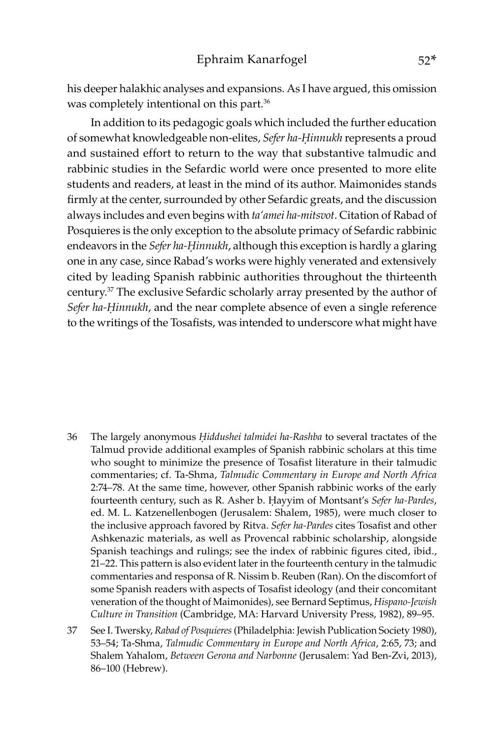his deeper halakhic analyses and expansions. As I have argued, this omission was completely intentional on this part.<sup>36</sup>

In addition to its pedagogic goals which included the further education of somewhat knowledgeable non-elites, *Sefer ha-Ḥinnukh* represents a proud and sustained effort to return to the way that substantive talmudic and rabbinic studies in the Sefardic world were once presented to more elite students and readers, at least in the mind of its author. Maimonides stands firmly at the center, surrounded by other Sefardic greats, and the discussion always includes and even begins with *ta'amei ha-mitsvot*. Citation of Rabad of Posquieres is the only exception to the absolute primacy of Sefardic rabbinic endeavors in the *Sefer ha-Ḥinnukh*, although this exception is hardly a glaring one in any case, since Rabad's works were highly venerated and extensively cited by leading Spanish rabbinic authorities throughout the thirteenth century.37 The exclusive Sefardic scholarly array presented by the author of *Sefer ha-Ḥinnukh*, and the near complete absence of even a single reference to the writings of the Tosafists, was intended to underscore what might have

- 36 The largely anonymous *Ḥiddushei talmidei ha-Rashba* to several tractates of the Talmud provide additional examples of Spanish rabbinic scholars at this time who sought to minimize the presence of Tosafist literature in their talmudic commentaries; cf. Ta-Shma, *Talmudic Commentary in Europe and North Africa*  2:74–78. At the same time, however, other Spanish rabbinic works of the early fourteenth century, such as R. Asher b. Ḥayyim of Montsant's *Sefer ha-Pardes*, ed. M. L. Katzenellenbogen (Jerusalem: Shalem, 1985), were much closer to the inclusive approach favored by Ritva. *Sefer ha-Pardes* cites Tosafist and other Ashkenazic materials, as well as Provencal rabbinic scholarship, alongside Spanish teachings and rulings; see the index of rabbinic figures cited, ibid., 21–22. This pattern is also evident later in the fourteenth century in the talmudic commentaries and responsa of R. Nissim b. Reuben (Ran). On the discomfort of some Spanish readers with aspects of Tosafist ideology (and their concomitant veneration of the thought of Maimonides), see Bernard Septimus, *Hispano-Jewish Culture in Transition* (Cambridge, MA: Harvard University Press, 1982), 89–95.
- 37 See I. Twersky, *Rabad of Posquieres* (Philadelphia: Jewish Publication Society 1980), 53–54; Ta-Shma, *Talmudic Commentary in Europe and North Africa*, 2:65, 73; and Shalem Yahalom, *Between Gerona and Narbonne* (Jerusalem: Yad Ben-Zvi, 2013), 86–100 (Hebrew).